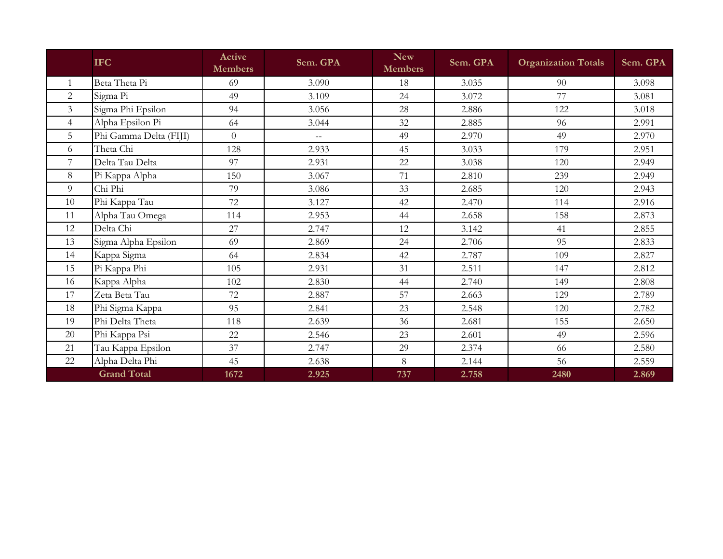|                | <b>IFC</b>             | Active<br><b>Members</b> | Sem. GPA | <b>New</b><br><b>Members</b> | Sem. GPA | <b>Organization Totals</b> | Sem. GPA |
|----------------|------------------------|--------------------------|----------|------------------------------|----------|----------------------------|----------|
|                | Beta Theta Pi          | 69                       | 3.090    | 18                           | 3.035    | 90                         | 3.098    |
| $\overline{2}$ | Sigma Pi               | 49                       | 3.109    | 24                           | 3.072    | 77                         | 3.081    |
| $\overline{3}$ | Sigma Phi Epsilon      | 94                       | 3.056    | 28                           | 2.886    | 122                        | 3.018    |
| $\overline{4}$ | Alpha Epsilon Pi       | 64                       | 3.044    | 32                           | 2.885    | 96                         | 2.991    |
| 5              | Phi Gamma Delta (FIJI) | $\overline{0}$           | $-$      | 49                           | 2.970    | 49                         | 2.970    |
| 6              | Theta Chi              | 128                      | 2.933    | 45                           | 3.033    | 179                        | 2.951    |
| 7              | Delta Tau Delta        | 97                       | 2.931    | 22                           | 3.038    | 120                        | 2.949    |
| 8              | Pi Kappa Alpha         | 150                      | 3.067    | 71                           | 2.810    | 239                        | 2.949    |
| 9              | Chi Phi                | 79                       | 3.086    | 33                           | 2.685    | 120                        | 2.943    |
| 10             | Phi Kappa Tau          | 72                       | 3.127    | 42                           | 2.470    | 114                        | 2.916    |
| 11             | Alpha Tau Omega        | 114                      | 2.953    | 44                           | 2.658    | 158                        | 2.873    |
| 12             | Delta Chi              | 27                       | 2.747    | 12                           | 3.142    | 41                         | 2.855    |
| 13             | Sigma Alpha Epsilon    | 69                       | 2.869    | 24                           | 2.706    | 95                         | 2.833    |
| 14             | Kappa Sigma            | 64                       | 2.834    | 42                           | 2.787    | 109                        | 2.827    |
| 15             | Pi Kappa Phi           | 105                      | 2.931    | 31                           | 2.511    | 147                        | 2.812    |
| 16             | Kappa Alpha            | 102                      | 2.830    | 44                           | 2.740    | 149                        | 2.808    |
| 17             | Zeta Beta Tau          | 72                       | 2.887    | 57                           | 2.663    | 129                        | 2.789    |
| 18             | Phi Sigma Kappa        | 95                       | 2.841    | 23                           | 2.548    | 120                        | 2.782    |
| 19             | Phi Delta Theta        | 118                      | 2.639    | 36                           | 2.681    | 155                        | 2.650    |
| 20             | Phi Kappa Psi          | 22                       | 2.546    | 23                           | 2.601    | 49                         | 2.596    |
| 21             | Tau Kappa Epsilon      | 37                       | 2.747    | 29                           | 2.374    | 66                         | 2.580    |
| 22             | Alpha Delta Phi        | 45                       | 2.638    | 8                            | 2.144    | 56                         | 2.559    |
|                | <b>Grand Total</b>     | 1672                     | 2.925    | 737                          | 2.758    | 2480                       | 2.869    |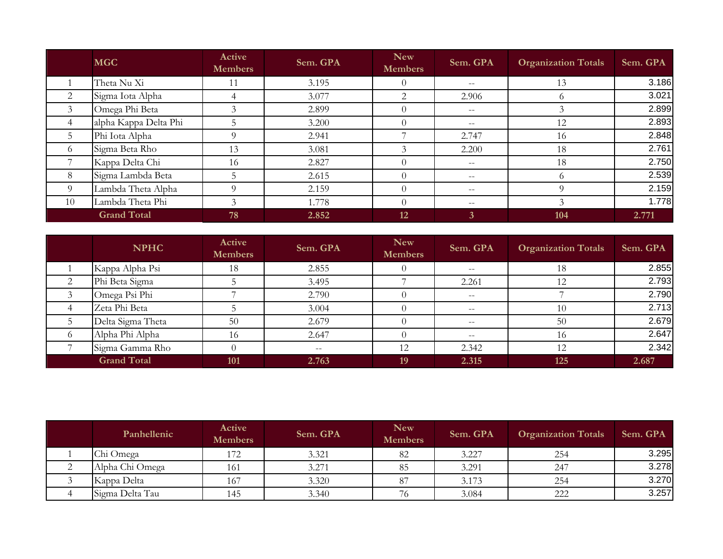|                | <b>MGC</b>            | Active<br><b>Members</b> | Sem. GPA | <b>New</b><br>Members | Sem. GPA                 | <b>Organization Totals</b> | Sem. GPA |
|----------------|-----------------------|--------------------------|----------|-----------------------|--------------------------|----------------------------|----------|
|                | Theta Nu Xi           | 11                       | 3.195    | $\theta$              | $--$                     | 13                         | 3.186    |
| 2              | Sigma Iota Alpha      | 4                        | 3.077    | 2                     | 2.906                    | $\Omega$                   | 3.021    |
| $\mathfrak{Z}$ | Omega Phi Beta        | 3                        | 2.899    | $\theta$              | $--$                     |                            | 2.899    |
| 4              | alpha Kappa Delta Phi | 5                        | 3.200    | $\Omega$              | $\overline{\phantom{m}}$ | 12                         | 2.893    |
| 5 <sup>5</sup> | Phi Iota Alpha        | 9                        | 2.941    |                       | 2.747                    | 16                         | 2.848    |
| 6              | Sigma Beta Rho        | 13                       | 3.081    |                       | 2.200                    | 18                         | 2.761    |
|                | Kappa Delta Chi       | 16                       | 2.827    | $\Omega$              | $--$                     | 18                         | 2.750    |
| 8              | Sigma Lambda Beta     | 5                        | 2.615    |                       | $- -$                    | $\Omega$                   | 2.539    |
| 9              | Lambda Theta Alpha    | 9                        | 2.159    |                       | $- -$                    |                            | 2.159    |
| 10             | Lambda Theta Phi      | 3                        | 1.778    | $\theta$              | $\overline{\phantom{m}}$ | 3                          | 1.778    |
|                | <b>Grand Total</b>    | 78                       | 2.852    | <b>12</b>             | 3                        | 104                        | 2.771    |

|          | <b>NPHC</b>        | Active<br><b>Members</b> | Sem. GPA                 | <b>New</b><br><b>Members</b> | Sem. GPA | <b>Organization Totals</b> | Sem. GPA |
|----------|--------------------|--------------------------|--------------------------|------------------------------|----------|----------------------------|----------|
|          | Kappa Alpha Psi    | 18                       | 2.855                    |                              | $- -$    | 18                         | 2.855    |
|          | Phi Beta Sigma     |                          | 3.495                    |                              | 2.261    | 12                         | 2.793    |
|          | Omega Psi Phi      |                          | 2.790                    |                              | $- -$    |                            | 2.790    |
|          | Zeta Phi Beta      |                          | 3.004                    |                              | $- -$    | 10                         | 2.713    |
|          | Delta Sigma Theta  | 50                       | 2.679                    |                              | $- -$    | 50                         | 2.679    |
| $\sigma$ | Alpha Phi Alpha    | 16                       | 2.647                    |                              | $- -$    | 16                         | 2.647    |
|          | Sigma Gamma Rho    |                          | $\overline{\phantom{m}}$ | 12                           | 2.342    | 12                         | 2.342    |
|          | <b>Grand Total</b> | <b>101</b>               | 2.763                    | 19                           | 2.315    | 125                        | 2.687    |

|                      | Panhellenic     | Active<br><b>Members</b> | Sem. GPA | <b>New</b><br><b>Members</b> | Sem. GPA | <b>Organization Totals</b> | Sem. GPA |
|----------------------|-----------------|--------------------------|----------|------------------------------|----------|----------------------------|----------|
|                      | Chi Omega       | 172                      | 3.321    | 82                           | 3.227    | 254                        | 3.295    |
| $\sim$<br>$\sqrt{2}$ | Alpha Chi Omega | 161                      | 3.271    | 85                           | 3.291    | 247                        | 3.278    |
|                      | Kappa Delta     | 167                      | 3.320    | 87                           | 3.173    | 254                        | 3.270    |
|                      | Sigma Delta Tau | 145                      | 3.340    | 76                           | 3.084    | 222                        | 3.257    |